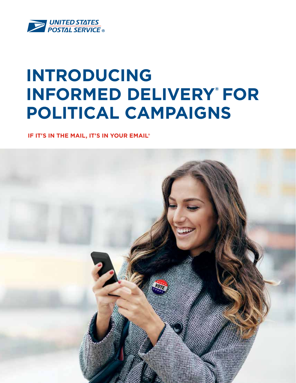

# **INTRODUCING**  INFORMED DELIVERY® FOR **POLITICAL CAMPAIGNS**

 **IF IT'S IN THE MAIL, IT'S IN YOUR EMAIL®**

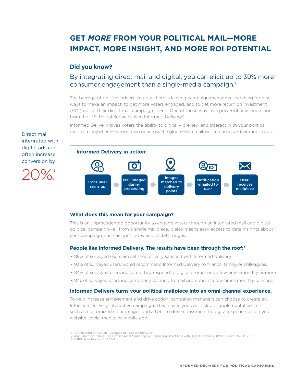# **GET** *MORE* **FROM YOUR POLITICAL MAIL—MORE IMPACT, MORE INSIGHT, AND MORE ROI POTENTIAL**

### **Did you know?**

## By integrating direct mail and digital, you can elicit up to 39% more consumer engagement than a single-media campaign.<sup>1</sup>

The barrage of political advertising out there is leaving campaign managers searching for new ways to make an impact, to get more voters engaged, and to get more return on investment (ROI) out of their direct mail campaign spend. One of those ways is a powerful new innovation from the U.S. Postal Service called Informed Delivery®.

Informed Delivery gives voters the ability to digitally preview and interact with your political mail from anywhere—across town or across the globe—via email, online dashboard, or mobile app.

Direct mail integrated with digital ads can often increase conversion by

20%.



#### **What does this mean for your campaign?**

This is an unprecedented opportunity to engage voters through an integrated mail and digital political campaign—all from a single mailpiece. It also means easy access to data insights about your campaign, such as open rates and click-throughs.

#### **People like Informed Delivery. The results have been through the roof:3**

- 89% of surveyed users are satisfied or very satisfied with Informed Delivery.
- 93% of surveyed users would recommend Informed Delivery to friends, family, or colleagues.
- 84% of surveyed users indicated they respond to digital promotions a few times monthly or more.
- 81% of surveyed users indicated they respond to mail promotions a few times monthly or more.

#### **Informed Delivery turns your political mailpiece into an omni-channel experience.**

To help increase engagement and drive action, campaign managers can choose to create an Informed Delivery interactive campaign. This means you can include supplemental content such as customized color images and a URL to drive consumers to digital experiences on your website, social media, or mobile app.

<sup>1. &</sup>quot;Connecting for Action," Canada Post, September 2016.

<sup>2.</sup> Alan Sherman, "Drive True Omnichannel Marketing by Combining Direct Mail with Digital Channels," IWCO Direct, May 10, 2017.

<sup>3.</sup> USPS User Survey, April 2018.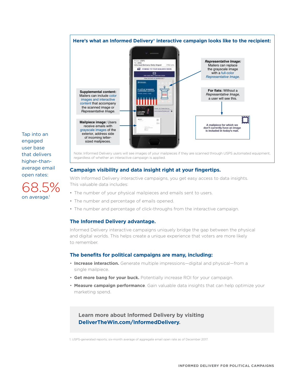

**Campaign visibility and data insight right at your fingertips.** 

With Informed Delivery interactive campaigns, you get easy access to data insights. This valuable data includes:

- The number of your physical mailpieces and emails sent to users.
- The number and percentage of emails opened.
- The number and percentage of click-throughs from the interactive campaign.

#### **The Informed Delivery advantage.**

Informed Delivery interactive campaigns uniquely bridge the gap between the physical and digital worlds. This helps create a unique experience that voters are more likely to remember.

#### **The benefits for political campaigns are many, including:**

- **Increase interaction.** Generate multiple impressions—digital and physical—from a single mailpiece.
- **Get more bang for your buck.** Potentially increase ROI for your campaign.
- **Measure campaign performance**. Gain valuable data insights that can help optimize your marketing spend.

**Learn more about Informed Delivery by visiting DeliverTheWin.com/InformedDelivery.**

1. USPS-generated reports; six-month average of aggregate email open rate as of December 2017.

engaged user base that delivers higher-thanaverage email open rates:

Tap into an

68.5% on average.<sup>1</sup>